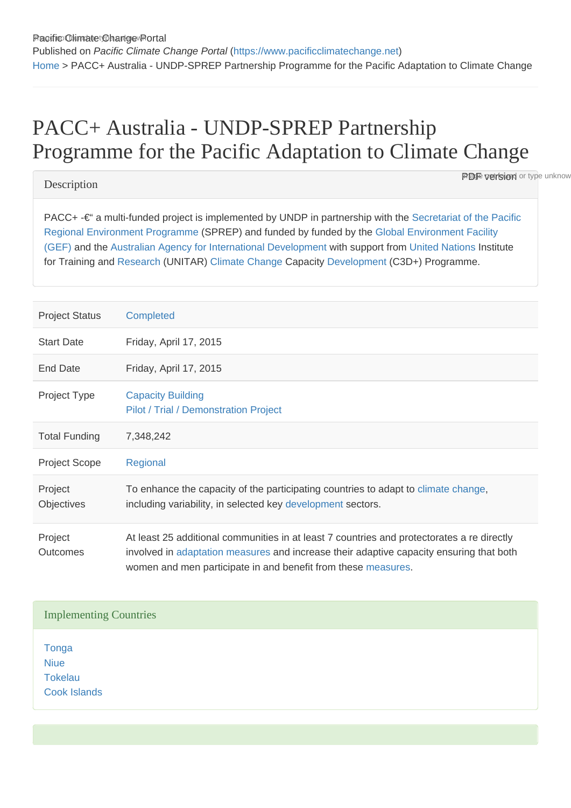# PACC+ Australia - UNDP-SPREP Partnership Programme for the Pacific Adaptation to Climate Change

# **Description**

**PDF version** or type unknow

PACC+ -€" a multi-funded project is implemented by UNDP in partnership with the Secretariat of the Pacific [Regional Environment Programme](https://www.pacificclimatechange.net/glossary/letter_s#Secretariat_of_the_Pacific_Regional_Environment_Programme) (SPREP) and funded by funded by the [Global Environment Facility](https://www.pacificclimatechange.net/glossary/letter_g#Global_Environment_Facility_GEF)  [\(GEF\)](https://www.pacificclimatechange.net/glossary/letter_g#Global_Environment_Facility_GEF) and the [Australian Agency for International Development](https://www.pacificclimatechange.net/glossary/letter_a#Australian_Agency_for_International_Development) with support from [United Nations](https://www.pacificclimatechange.net/glossary/letter_u#United_Nations) Institute for Training and [Research](https://www.pacificclimatechange.net/glossary/letter_r#Research) (UNITAR) [Climate Change](https://www.pacificclimatechange.net/glossary/letter_c#Climate_Change) Capacity [Development](https://www.pacificclimatechange.net/glossary/letter_d#Development) (C3D+) Programme.

| <b>Project Status</b>        | Completed                                                                                                                                                                                                                                              |
|------------------------------|--------------------------------------------------------------------------------------------------------------------------------------------------------------------------------------------------------------------------------------------------------|
| <b>Start Date</b>            | Friday, April 17, 2015                                                                                                                                                                                                                                 |
| End Date                     | Friday, April 17, 2015                                                                                                                                                                                                                                 |
| <b>Project Type</b>          | <b>Capacity Building</b><br>Pilot / Trial / Demonstration Project                                                                                                                                                                                      |
| <b>Total Funding</b>         | 7,348,242                                                                                                                                                                                                                                              |
| <b>Project Scope</b>         | Regional                                                                                                                                                                                                                                               |
| Project<br><b>Objectives</b> | To enhance the capacity of the participating countries to adapt to climate change,<br>including variability, in selected key development sectors.                                                                                                      |
| Project<br><b>Outcomes</b>   | At least 25 additional communities in at least 7 countries and protectorates a re directly<br>involved in adaptation measures and increase their adaptive capacity ensuring that both<br>women and men participate in and benefit from these measures. |

# Implementing Countries

**[Tonga](https://www.pacificclimatechange.net/node/61) [Niue](https://www.pacificclimatechange.net/node/55)** [Tokelau](https://www.pacificclimatechange.net/node/60) [Cook Islands](https://www.pacificclimatechange.net/node/9481)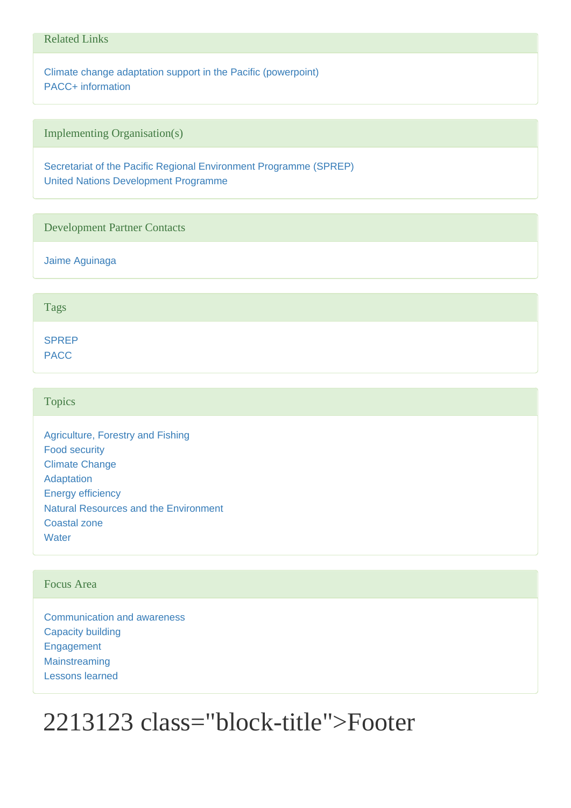## Related Links

[Climate change adaptation support in the Pacific \(powerpoint\)](http://www.pacificdisaster.net/pdnadmin/data/original/UNDP_2011_CCA_pacific.pdf) [PACC+ information](http://www.ws.undp.org/content/samoa/en/home/operations/projects/environment_and_energy/PACCplus.html)

Implementing Organisation(s)

[Secretariat of the Pacific Regional Environment Programme \(SPREP\)](https://www.pacificclimatechange.net/node/9478) [United Nations Development Programme](https://www.pacificclimatechange.net/node/9495)

#### Development Partner Contacts

[Jaime Aguinaga](https://www.pacificclimatechange.net/node/9494)

#### Tags

[SPREP](https://www.pacificclimatechange.net/projects?f[0]=field_tags:1283) [PACC](https://www.pacificclimatechange.net/projects?f[0]=field_tags:1822)

#### **Topics**

[Agriculture, Forestry and Fishing](https://www.pacificclimatechange.net/projects?f[0]=field_topics:1) [Food security](https://www.pacificclimatechange.net/projects?f[0]=field_topics:27) [Climate Change](https://www.pacificclimatechange.net/projects?f[0]=field_topics:2) [Adaptation](https://www.pacificclimatechange.net/projects?f[0]=field_topics:32) [Energy efficiency](https://www.pacificclimatechange.net/projects?f[0]=field_topics:101) [Natural Resources and the Environment](https://www.pacificclimatechange.net/projects?f[0]=field_topics:15) [Coastal zone](https://www.pacificclimatechange.net/projects?f[0]=field_topics:268) **[Water](https://www.pacificclimatechange.net/projects?f[0]=field_topics:20)** 

# Focus Area

[Communication and awareness](https://www.pacificclimatechange.net/projects?f[0]=field_focus_area:113) [Capacity building](https://www.pacificclimatechange.net/projects?f[0]=field_focus_area:1809) [Engagement](https://www.pacificclimatechange.net/projects?f[0]=field_focus_area:1812) **[Mainstreaming](https://www.pacificclimatechange.net/projects?f[0]=field_focus_area:115)** [Lessons learned](https://www.pacificclimatechange.net/projects?f[0]=field_focus_area:1816)

# 2213123 class="block-title">Footer